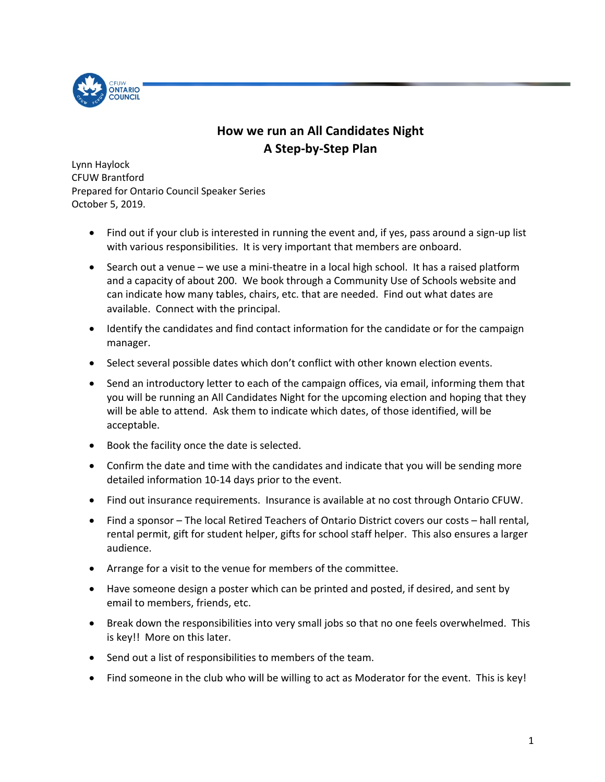

## **How we run an All Candidates Night A Step-by-Step Plan**

Lynn Haylock CFUW Brantford Prepared for Ontario Council Speaker Series October 5, 2019.

- Find out if your club is interested in running the event and, if yes, pass around a sign-up list with various responsibilities. It is very important that members are onboard.
- Search out a venue we use a mini-theatre in a local high school. It has a raised platform and a capacity of about 200. We book through a Community Use of Schools website and can indicate how many tables, chairs, etc. that are needed. Find out what dates are available. Connect with the principal.
- Identify the candidates and find contact information for the candidate or for the campaign manager.
- Select several possible dates which don't conflict with other known election events.
- Send an introductory letter to each of the campaign offices, via email, informing them that you will be running an All Candidates Night for the upcoming election and hoping that they will be able to attend. Ask them to indicate which dates, of those identified, will be acceptable.
- Book the facility once the date is selected.
- Confirm the date and time with the candidates and indicate that you will be sending more detailed information 10-14 days prior to the event.
- Find out insurance requirements. Insurance is available at no cost through Ontario CFUW.
- Find a sponsor The local Retired Teachers of Ontario District covers our costs hall rental, rental permit, gift for student helper, gifts for school staff helper. This also ensures a larger audience.
- Arrange for a visit to the venue for members of the committee.
- Have someone design a poster which can be printed and posted, if desired, and sent by email to members, friends, etc.
- Break down the responsibilities into very small jobs so that no one feels overwhelmed. This is key!! More on this later.
- Send out a list of responsibilities to members of the team.
- Find someone in the club who will be willing to act as Moderator for the event. This is key!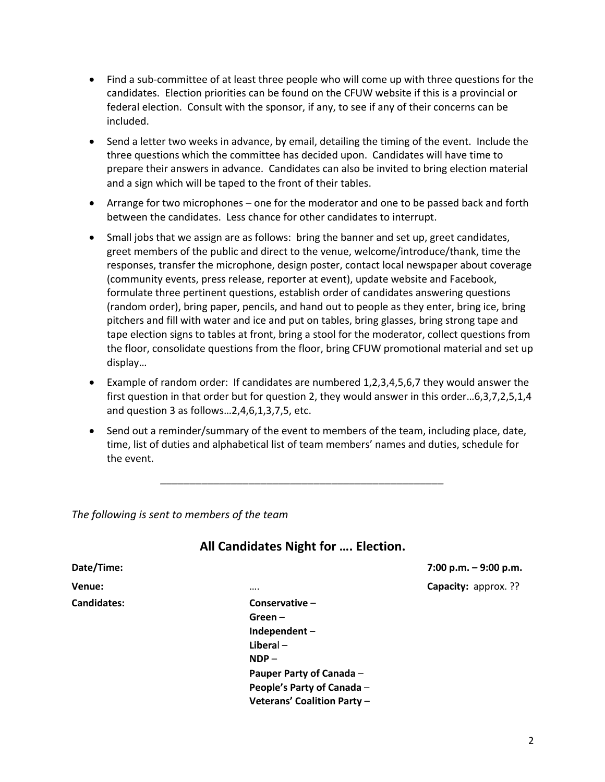- Find a sub-committee of at least three people who will come up with three questions for the candidates. Election priorities can be found on the CFUW website if this is a provincial or federal election. Consult with the sponsor, if any, to see if any of their concerns can be included.
- Send a letter two weeks in advance, by email, detailing the timing of the event. Include the three questions which the committee has decided upon. Candidates will have time to prepare their answers in advance. Candidates can also be invited to bring election material and a sign which will be taped to the front of their tables.
- Arrange for two microphones one for the moderator and one to be passed back and forth between the candidates. Less chance for other candidates to interrupt.
- Small jobs that we assign are as follows: bring the banner and set up, greet candidates, greet members of the public and direct to the venue, welcome/introduce/thank, time the responses, transfer the microphone, design poster, contact local newspaper about coverage (community events, press release, reporter at event), update website and Facebook, formulate three pertinent questions, establish order of candidates answering questions (random order), bring paper, pencils, and hand out to people as they enter, bring ice, bring pitchers and fill with water and ice and put on tables, bring glasses, bring strong tape and tape election signs to tables at front, bring a stool for the moderator, collect questions from the floor, consolidate questions from the floor, bring CFUW promotional material and set up display…
- Example of random order: If candidates are numbered 1,2,3,4,5,6,7 they would answer the first question in that order but for question 2, they would answer in this order…6,3,7,2,5,1,4 and question 3 as follows…2,4,6,1,3,7,5, etc.
- Send out a reminder/summary of the event to members of the team, including place, date, time, list of duties and alphabetical list of team members' names and duties, schedule for the event.

*\_\_\_\_\_\_\_\_\_\_\_\_\_\_\_\_\_\_\_\_\_\_\_\_\_\_\_\_\_\_\_\_\_\_\_\_\_\_\_\_\_\_\_\_\_\_\_\_*

*The following is sent to members of the team*

## **All Candidates Night for …. Election.**

| Date/Time:         |                          | 7:00 p.m. $-9:00$ p.m. |
|--------------------|--------------------------|------------------------|
| Venue:             |                          | Capacity: approx. ??   |
| <b>Candidates:</b> | Conservative $-$         |                        |
|                    | $Green -$                |                        |
|                    | Independent-             |                        |
|                    | $Liberal -$              |                        |
|                    | $NDP -$                  |                        |
|                    | Pauper Party of Canada - |                        |
|                    | _ _ . _ _ .              |                        |

**People's Party of Canada** – **Veterans' Coalition Party** –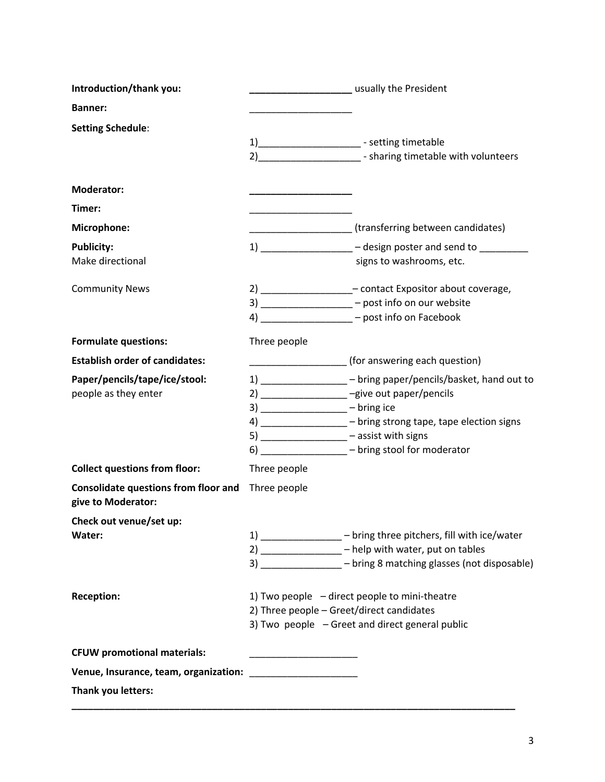| Introduction/thank you:                                           | <b>CONSUMING MANUSCRY</b> USUAlly the President                                                                                                                                                                                                                                                                        |  |
|-------------------------------------------------------------------|------------------------------------------------------------------------------------------------------------------------------------------------------------------------------------------------------------------------------------------------------------------------------------------------------------------------|--|
| <b>Banner:</b>                                                    |                                                                                                                                                                                                                                                                                                                        |  |
| <b>Setting Schedule:</b>                                          | 1)_________________________ - setting timetable<br>2)__________________________- sharing timetable with volunteers                                                                                                                                                                                                     |  |
| <b>Moderator:</b>                                                 |                                                                                                                                                                                                                                                                                                                        |  |
| Timer:                                                            |                                                                                                                                                                                                                                                                                                                        |  |
| Microphone:                                                       | (transferring between candidates)                                                                                                                                                                                                                                                                                      |  |
| <b>Publicity:</b><br>Make directional                             | 1) ________________ - design poster and send to ________<br>signs to washrooms, etc.                                                                                                                                                                                                                                   |  |
| <b>Community News</b>                                             | 2) ___________________- contact Expositor about coverage,<br>3) __________________ - post info on our website<br>4) ________________ – post info on Facebook                                                                                                                                                           |  |
| <b>Formulate questions:</b>                                       | Three people                                                                                                                                                                                                                                                                                                           |  |
| <b>Establish order of candidates:</b>                             | (for answering each question)                                                                                                                                                                                                                                                                                          |  |
| Paper/pencils/tape/ice/stool:<br>people as they enter             | 1) _______________ - bring paper/pencils/basket, hand out to<br>2) __________________ -give out paper/pencils<br>$3)$ ____________________ - bring ice<br>4) _________________ - bring strong tape, tape election signs<br>5) _________________ - assist with signs<br>6) ________________ - bring stool for moderator |  |
| <b>Collect questions from floor:</b>                              | Three people                                                                                                                                                                                                                                                                                                           |  |
| <b>Consolidate questions from floor and</b><br>give to Moderator: | Three people                                                                                                                                                                                                                                                                                                           |  |
| Check out venue/set up:<br>Water:                                 | 1) _______________ - bring three pitchers, fill with ice/water<br>2) _______________ - help with water, put on tables<br>3) ________________ - bring 8 matching glasses (not disposable)                                                                                                                               |  |
| <b>Reception:</b>                                                 | 1) Two people - direct people to mini-theatre<br>2) Three people - Greet/direct candidates<br>3) Two people - Greet and direct general public                                                                                                                                                                          |  |
| <b>CFUW promotional materials:</b>                                |                                                                                                                                                                                                                                                                                                                        |  |
|                                                                   |                                                                                                                                                                                                                                                                                                                        |  |
| Thank you letters:                                                |                                                                                                                                                                                                                                                                                                                        |  |